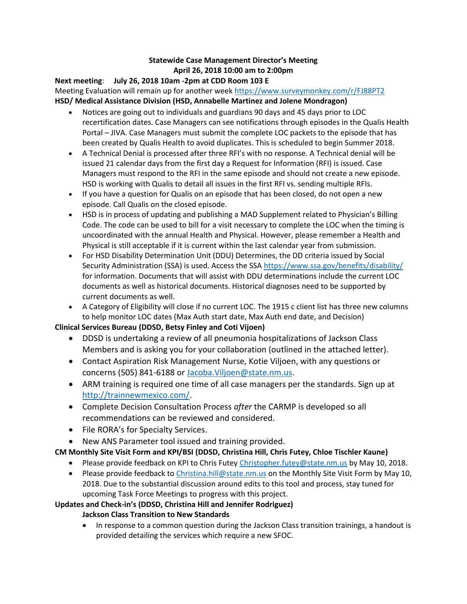### **Statewide Case Management Director's Meeting April 26, 2018 10:00 am to 2:00pm**

**Next meeting**: **July 26, 2018 10am -2pm at CDD Room 103 E** Meeting Evaluation will remain up for another wee[k https://www.surveymonkey.com/r/FJ88PT2](https://www.surveymonkey.com/r/FJ88PT2) **HSD/ Medical Assistance Division (HSD, Annabelle Martinez and Jolene Mondragon)**

- Notices are going out to individuals and guardians 90 days and 45 days prior to LOC recertification dates. Case Managers can see notifications through episodes in the Qualis Health Portal – JIVA. Case Managers must submit the complete LOC packets to the episode that has been created by Qualis Health to avoid duplicates. This is scheduled to begin Summer 2018.
- A Technical Denial is processed after three RFI's with no response. A Technical denial will be issued 21 calendar days from the first day a Request for Information (RFI) is issued. Case Managers must respond to the RFI in the same episode and should not create a new episode. HSD is working with Qualis to detail all issues in the first RFI vs. sending multiple RFIs.
- If you have a question for Qualis on an episode that has been closed, do not open a new episode. Call Qualis on the closed episode.
- HSD is in process of updating and publishing a MAD Supplement related to Physician's Billing Code. The code can be used to bill for a visit necessary to complete the LOC when the timing is uncoordinated with the annual Health and Physical. However, please remember a Health and Physical is still acceptable if it is current within the last calendar year from submission.
- For HSD Disability Determination Unit (DDU) Determines, the DD criteria issued by Social Security Administration (SSA) is used. Access the SSA<https://www.ssa.gov/benefits/disability/> for information. Documents that will assist with DDU determinations include the current LOC documents as well as historical documents. Historical diagnoses need to be supported by current documents as well.
- A Category of Eligibility will close if no current LOC. The 1915 c client list has three new columns to help monitor LOC dates (Max Auth start date, Max Auth end date, and Decision)

# **Clinical Services Bureau (DDSD, Betsy Finley and Coti Vijoen)**

- DDSD is undertaking a review of all pneumonia hospitalizations of Jackson Class Members and is asking you for your collaboration (outlined in the attached letter).
- Contact Aspiration Risk Management Nurse, Kotie Viljoen, with any questions or concerns (505) 841-6188 or [Jacoba.Viljoen@state.nm.us.](mailto:Jacoba.Viljoen@state.nm.us)
- ARM training is required one time of all case managers per the standards. Sign up at [http://trainnewmexico.com/.](http://trainnewmexico.com/)
- Complete Decision Consultation Process *after* the CARMP is developed so all recommendations can be reviewed and considered.
- File RORA's for Specialty Services.
- New ANS Parameter tool issued and training provided.

# **CM Monthly Site Visit Form and KPI/BSI (DDSD, Christina Hill, Chris Futey, Chloe Tischler Kaune)**

- Please provide feedback on KPI to Chris Futey [Christopher.futey@state.nm.us](mailto:Christopher.futey@state.nm.us) by May 10, 2018.
- Please provide feedback to [Christina.hill@state.nm.us](mailto:Christina.hill@state.nm.us) on the Monthly Site Visit Form by May 10, 2018. Due to the substantial discussion around edits to this tool and process, stay tuned for upcoming Task Force Meetings to progress with this project.

# **Updates and Check-in's (DDSD, Christina Hill and Jennifer Rodriguez)**

# **Jackson Class Transition to New Standards**

• In response to a common question during the Jackson Class transition trainings, a handout is provided detailing the services which require a new SFOC.